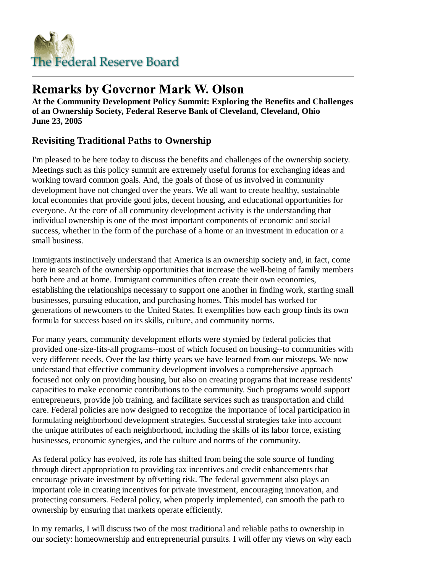

# **Remarks by Governor Mark W. Olson**

**At the Community Development Policy Summit: Exploring the Benefits and Challenges of an Ownership Society, Federal Reserve Bank of Cleveland, Cleveland, Ohio June 23, 2005**

# **Revisiting Traditional Paths to Ownership**

I'm pleased to be here today to discuss the benefits and challenges of the ownership society. Meetings such as this policy summit are extremely useful forums for exchanging ideas and working toward common goals. And, the goals of those of us involved in community development have not changed over the years. We all want to create healthy, sustainable local economies that provide good jobs, decent housing, and educational opportunities for everyone. At the core of all community development activity is the understanding that individual ownership is one of the most important components of economic and social success, whether in the form of the purchase of a home or an investment in education or a small business.

Immigrants instinctively understand that America is an ownership society and, in fact, come here in search of the ownership opportunities that increase the well-being of family members both here and at home. Immigrant communities often create their own economies, establishing the relationships necessary to support one another in finding work, starting small businesses, pursuing education, and purchasing homes. This model has worked for generations of newcomers to the United States. It exemplifies how each group finds its own formula for success based on its skills, culture, and community norms.

For many years, community development efforts were stymied by federal policies that provided one-size-fits-all programs--most of which focused on housing--to communities with very different needs. Over the last thirty years we have learned from our missteps. We now understand that effective community development involves a comprehensive approach focused not only on providing housing, but also on creating programs that increase residents' capacities to make economic contributions to the community. Such programs would support entrepreneurs, provide job training, and facilitate services such as transportation and child care. Federal policies are now designed to recognize the importance of local participation in formulating neighborhood development strategies. Successful strategies take into account the unique attributes of each neighborhood, including the skills of its labor force, existing businesses, economic synergies, and the culture and norms of the community.

As federal policy has evolved, its role has shifted from being the sole source of funding through direct appropriation to providing tax incentives and credit enhancements that encourage private investment by offsetting risk. The federal government also plays an important role in creating incentives for private investment, encouraging innovation, and protecting consumers. Federal policy, when properly implemented, can smooth the path to ownership by ensuring that markets operate efficiently.

In my remarks, I will discuss two of the most traditional and reliable paths to ownership in our society: homeownership and entrepreneurial pursuits. I will offer my views on why each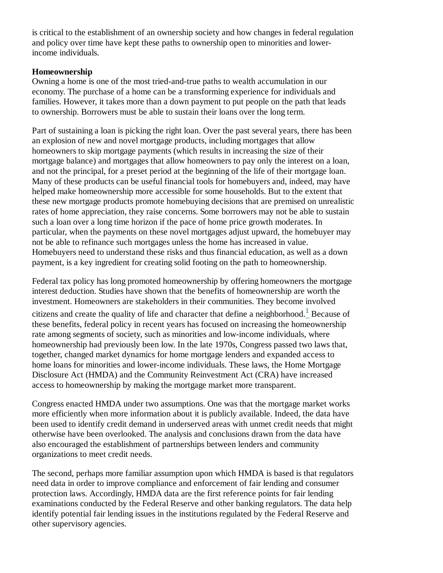is critical to the establishment of an ownership society and how changes in federal regulation and policy over time have kept these paths to ownership open to minorities and lowerincome individuals.

## **Homeownership**

Owning a home is one of the most tried-and-true paths to wealth accumulation in our economy. The purchase of a home can be a transforming experience for individuals and families. However, it takes more than a down payment to put people on the path that leads to ownership. Borrowers must be able to sustain their loans over the long term.

Part of sustaining a loan is picking the right loan. Over the past several years, there has been an explosion of new and novel mortgage products, including mortgages that allow homeowners to skip mortgage payments (which results in increasing the size of their mortgage balance) and mortgages that allow homeowners to pay only the interest on a loan, and not the principal, for a preset period at the beginning of the life of their mortgage loan. Many of these products can be useful financial tools for homebuyers and, indeed, may have helped make homeownership more accessible for some households. But to the extent that these new mortgage products promote homebuying decisions that are premised on unrealistic rates of home appreciation, they raise concerns. Some borrowers may not be able to sustain such a loan over a long time horizon if the pace of home price growth moderates. In particular, when the payments on these novel mortgages adjust upward, the homebuyer may not be able to refinance such mortgages unless the home has increased in value. Homebuyers need to understand these risks and thus financial education, as well as a down payment, is a key ingredient for creating solid footing on the path to homeownership.

Federal tax policy has long promoted homeownership by offering homeowners the mortgage interest deduction. Studies have shown that the benefits of homeownership are worth the investment. Homeowners are stakeholders in their communities. They become involved citizens and create the quality of life and character that define a neighborhood.<sup>1</sup> Because of these benefits, federal policy in recent years has focused on increasing the homeownership rate among segments of society, such as minorities and low-income individuals, where homeownership had previously been low. In the late 1970s, Congress passed two laws that, together, changed market dynamics for home mortgage lenders and expanded access to home loans for minorities and lower-income individuals. These laws, the Home Mortgage Disclosure Act (HMDA) and the Community Reinvestment Act (CRA) have increased access to homeownership by making the mortgage market more transparent.

Congress enacted HMDA under two assumptions. One was that the mortgage market works more efficiently when more information about it is publicly available. Indeed, the data have been used to identify credit demand in underserved areas with unmet credit needs that might otherwise have been overlooked. The analysis and conclusions drawn from the data have also encouraged the establishment of partnerships between lenders and community organizations to meet credit needs.

The second, perhaps more familiar assumption upon which HMDA is based is that regulators need data in order to improve compliance and enforcement of fair lending and consumer protection laws. Accordingly, HMDA data are the first reference points for fair lending examinations conducted by the Federal Reserve and other banking regulators. The data help identify potential fair lending issues in the institutions regulated by the Federal Reserve and other supervisory agencies.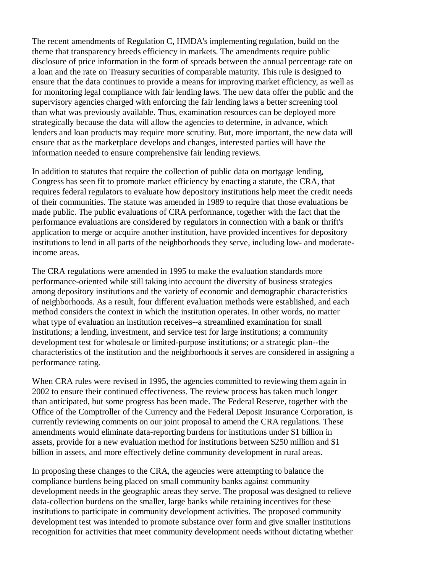The recent amendments of Regulation C, HMDA's implementing regulation, build on the theme that transparency breeds efficiency in markets. The amendments require public disclosure of price information in the form of spreads between the annual percentage rate on a loan and the rate on Treasury securities of comparable maturity. This rule is designed to ensure that the data continues to provide a means for improving market efficiency, as well as for monitoring legal compliance with fair lending laws. The new data offer the public and the supervisory agencies charged with enforcing the fair lending laws a better screening tool than what was previously available. Thus, examination resources can be deployed more strategically because the data will allow the agencies to determine, in advance, which lenders and loan products may require more scrutiny. But, more important, the new data will ensure that as the marketplace develops and changes, interested parties will have the information needed to ensure comprehensive fair lending reviews.

In addition to statutes that require the collection of public data on mortgage lending, Congress has seen fit to promote market efficiency by enacting a statute, the CRA, that requires federal regulators to evaluate how depository institutions help meet the credit needs of their communities. The statute was amended in 1989 to require that those evaluations be made public. The public evaluations of CRA performance, together with the fact that the performance evaluations are considered by regulators in connection with a bank or thrift's application to merge or acquire another institution, have provided incentives for depository institutions to lend in all parts of the neighborhoods they serve, including low- and moderateincome areas.

The CRA regulations were amended in 1995 to make the evaluation standards more performance-oriented while still taking into account the diversity of business strategies among depository institutions and the variety of economic and demographic characteristics of neighborhoods. As a result, four different evaluation methods were established, and each method considers the context in which the institution operates. In other words, no matter what type of evaluation an institution receives--a streamlined examination for small institutions; a lending, investment, and service test for large institutions; a community development test for wholesale or limited-purpose institutions; or a strategic plan--the characteristics of the institution and the neighborhoods it serves are considered in assigning a performance rating.

When CRA rules were revised in 1995, the agencies committed to reviewing them again in 2002 to ensure their continued effectiveness. The review process has taken much longer than anticipated, but some progress has been made. The Federal Reserve, together with the Office of the Comptroller of the Currency and the Federal Deposit Insurance Corporation, is currently reviewing comments on our joint proposal to amend the CRA regulations. These amendments would eliminate data-reporting burdens for institutions under \$1 billion in assets, provide for a new evaluation method for institutions between \$250 million and \$1 billion in assets, and more effectively define community development in rural areas.

In proposing these changes to the CRA, the agencies were attempting to balance the compliance burdens being placed on small community banks against community development needs in the geographic areas they serve. The proposal was designed to relieve data-collection burdens on the smaller, large banks while retaining incentives for these institutions to participate in community development activities. The proposed community development test was intended to promote substance over form and give smaller institutions recognition for activities that meet community development needs without dictating whether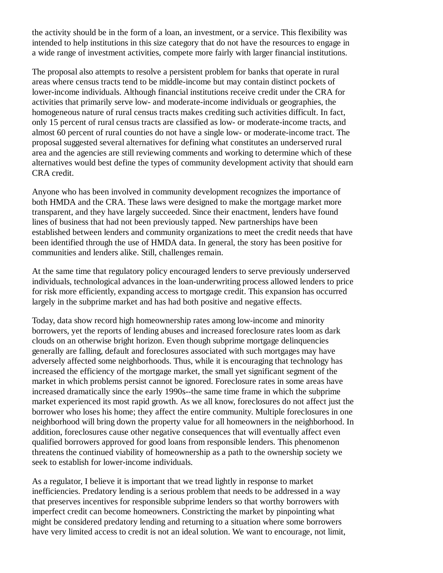the activity should be in the form of a loan, an investment, or a service. This flexibility was intended to help institutions in this size category that do not have the resources to engage in a wide range of investment activities, compete more fairly with larger financial institutions.

The proposal also attempts to resolve a persistent problem for banks that operate in rural areas where census tracts tend to be middle-income but may contain distinct pockets of lower-income individuals. Although financial institutions receive credit under the CRA for activities that primarily serve low- and moderate-income individuals or geographies, the homogeneous nature of rural census tracts makes crediting such activities difficult. In fact, only 15 percent of rural census tracts are classified as low- or moderate-income tracts, and almost 60 percent of rural counties do not have a single low- or moderate-income tract. The proposal suggested several alternatives for defining what constitutes an underserved rural area and the agencies are still reviewing comments and working to determine which of these alternatives would best define the types of community development activity that should earn CRA credit.

Anyone who has been involved in community development recognizes the importance of both HMDA and the CRA. These laws were designed to make the mortgage market more transparent, and they have largely succeeded. Since their enactment, lenders have found lines of business that had not been previously tapped. New partnerships have been established between lenders and community organizations to meet the credit needs that have been identified through the use of HMDA data. In general, the story has been positive for communities and lenders alike. Still, challenges remain.

At the same time that regulatory policy encouraged lenders to serve previously underserved individuals, technological advances in the loan-underwriting process allowed lenders to price for risk more efficiently, expanding access to mortgage credit. This expansion has occurred largely in the subprime market and has had both positive and negative effects.

Today, data show record high homeownership rates among low-income and minority borrowers, yet the reports of lending abuses and increased foreclosure rates loom as dark clouds on an otherwise bright horizon. Even though subprime mortgage delinquencies generally are falling, default and foreclosures associated with such mortgages may have adversely affected some neighborhoods. Thus, while it is encouraging that technology has increased the efficiency of the mortgage market, the small yet significant segment of the market in which problems persist cannot be ignored. Foreclosure rates in some areas have increased dramatically since the early 1990s--the same time frame in which the subprime market experienced its most rapid growth. As we all know, foreclosures do not affect just the borrower who loses his home; they affect the entire community. Multiple foreclosures in one neighborhood will bring down the property value for all homeowners in the neighborhood. In addition, foreclosures cause other negative consequences that will eventually affect even qualified borrowers approved for good loans from responsible lenders. This phenomenon threatens the continued viability of homeownership as a path to the ownership society we seek to establish for lower-income individuals.

As a regulator, I believe it is important that we tread lightly in response to market inefficiencies. Predatory lending is a serious problem that needs to be addressed in a way that preserves incentives for responsible subprime lenders so that worthy borrowers with imperfect credit can become homeowners. Constricting the market by pinpointing what might be considered predatory lending and returning to a situation where some borrowers have very limited access to credit is not an ideal solution. We want to encourage, not limit,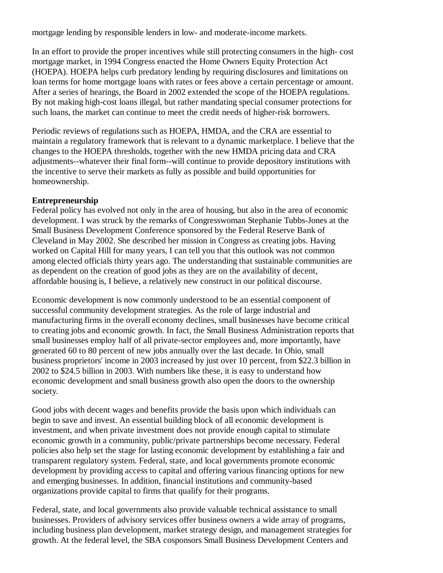mortgage lending by responsible lenders in low- and moderate-income markets.

In an effort to provide the proper incentives while still protecting consumers in the high- cost mortgage market, in 1994 Congress enacted the Home Owners Equity Protection Act (HOEPA). HOEPA helps curb predatory lending by requiring disclosures and limitations on loan terms for home mortgage loans with rates or fees above a certain percentage or amount. After a series of hearings, the Board in 2002 extended the scope of the HOEPA regulations. By not making high-cost loans illegal, but rather mandating special consumer protections for such loans, the market can continue to meet the credit needs of higher-risk borrowers.

Periodic reviews of regulations such as HOEPA, HMDA, and the CRA are essential to maintain a regulatory framework that is relevant to a dynamic marketplace. I believe that the changes to the HOEPA thresholds, together with the new HMDA pricing data and CRA adjustments--whatever their final form--will continue to provide depository institutions with the incentive to serve their markets as fully as possible and build opportunities for homeownership.

### **Entrepreneurship**

Federal policy has evolved not only in the area of housing, but also in the area of economic development. I was struck by the remarks of Congresswoman Stephanie Tubbs-Jones at the Small Business Development Conference sponsored by the Federal Reserve Bank of Cleveland in May 2002. She described her mission in Congress as creating jobs. Having worked on Capital Hill for many years, I can tell you that this outlook was not common among elected officials thirty years ago. The understanding that sustainable communities are as dependent on the creation of good jobs as they are on the availability of decent, affordable housing is, I believe, a relatively new construct in our political discourse.

Economic development is now commonly understood to be an essential component of successful community development strategies. As the role of large industrial and manufacturing firms in the overall economy declines, small businesses have become critical to creating jobs and economic growth. In fact, the Small Business Administration reports that small businesses employ half of all private-sector employees and, more importantly, have generated 60 to 80 percent of new jobs annually over the last decade. In Ohio, small business proprietors' income in 2003 increased by just over 10 percent, from \$22.3 billion in 2002 to \$24.5 billion in 2003. With numbers like these, it is easy to understand how economic development and small business growth also open the doors to the ownership society.

Good jobs with decent wages and benefits provide the basis upon which individuals can begin to save and invest. An essential building block of all economic development is investment, and when private investment does not provide enough capital to stimulate economic growth in a community, public/private partnerships become necessary. Federal policies also help set the stage for lasting economic development by establishing a fair and transparent regulatory system. Federal, state, and local governments promote economic development by providing access to capital and offering various financing options for new and emerging businesses. In addition, financial institutions and community-based organizations provide capital to firms that qualify for their programs.

Federal, state, and local governments also provide valuable technical assistance to small businesses. Providers of advisory services offer business owners a wide array of programs, including business plan development, market strategy design, and management strategies for growth. At the federal level, the SBA cosponsors Small Business Development Centers and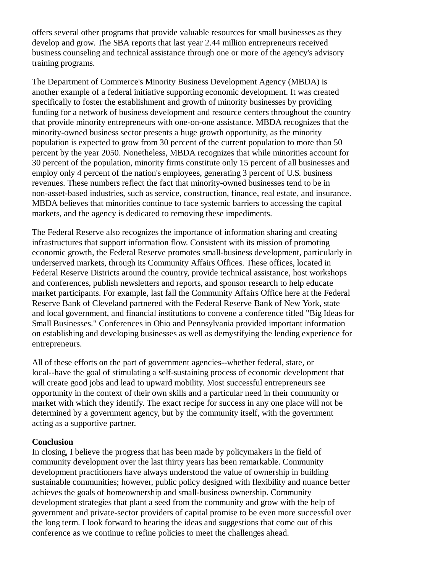offers several other programs that provide valuable resources for small businesses as they develop and grow. The SBA reports that last year 2.44 million entrepreneurs received business counseling and technical assistance through one or more of the agency's advisory training programs.

The Department of Commerce's Minority Business Development Agency (MBDA) is another example of a federal initiative supporting economic development. It was created specifically to foster the establishment and growth of minority businesses by providing funding for a network of business development and resource centers throughout the country that provide minority entrepreneurs with one-on-one assistance. MBDA recognizes that the minority-owned business sector presents a huge growth opportunity, as the minority population is expected to grow from 30 percent of the current population to more than 50 percent by the year 2050. Nonetheless, MBDA recognizes that while minorities account for 30 percent of the population, minority firms constitute only 15 percent of all businesses and employ only 4 percent of the nation's employees, generating 3 percent of U.S. business revenues. These numbers reflect the fact that minority-owned businesses tend to be in non-asset-based industries, such as service, construction, finance, real estate, and insurance. MBDA believes that minorities continue to face systemic barriers to accessing the capital markets, and the agency is dedicated to removing these impediments.

The Federal Reserve also recognizes the importance of information sharing and creating infrastructures that support information flow. Consistent with its mission of promoting economic growth, the Federal Reserve promotes small-business development, particularly in underserved markets, through its Community Affairs Offices. These offices, located in Federal Reserve Districts around the country, provide technical assistance, host workshops and conferences, publish newsletters and reports, and sponsor research to help educate market participants. For example, last fall the Community Affairs Office here at the Federal Reserve Bank of Cleveland partnered with the Federal Reserve Bank of New York, state and local government, and financial institutions to convene a conference titled "Big Ideas for Small Businesses." Conferences in Ohio and Pennsylvania provided important information on establishing and developing businesses as well as demystifying the lending experience for entrepreneurs.

All of these efforts on the part of government agencies--whether federal, state, or local--have the goal of stimulating a self-sustaining process of economic development that will create good jobs and lead to upward mobility. Most successful entrepreneurs see opportunity in the context of their own skills and a particular need in their community or market with which they identify. The exact recipe for success in any one place will not be determined by a government agency, but by the community itself, with the government acting as a supportive partner.

#### **Conclusion**

In closing, I believe the progress that has been made by policymakers in the field of community development over the last thirty years has been remarkable. Community development practitioners have always understood the value of ownership in building sustainable communities; however, public policy designed with flexibility and nuance better achieves the goals of homeownership and small-business ownership. Community development strategies that plant a seed from the community and grow with the help of government and private-sector providers of capital promise to be even more successful over the long term. I look forward to hearing the ideas and suggestions that come out of this conference as we continue to refine policies to meet the challenges ahead.